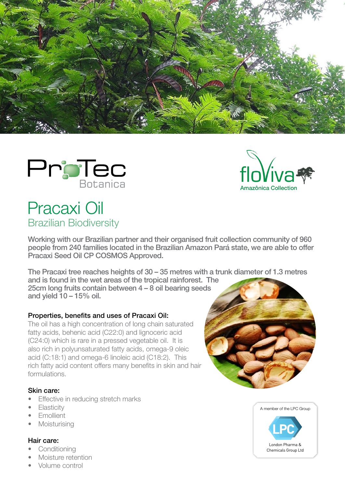





# Pracaxi Oil Brazilian Biodiversity

Working with our Brazilian partner and their organised fruit collection community of 960 people from 240 families located in the Brazilian Amazon Pará state, we are able to offer Pracaxi Seed Oil CP COSMOS Approved.

The Pracaxi tree reaches heights of 30 – 35 metres with a trunk diameter of 1.3 metres and is found in the wet areas of the tropical rainforest. The

25cm long fruits contain between 4 – 8 oil bearing seeds and yield  $10 - 15%$  oil.

#### Properties, benefits and uses of Pracaxi Oil:

The oil has a high concentration of long chain saturated fatty acids, behenic acid (C22:0) and lignoceric acid (C24:0) which is rare in a pressed vegetable oil. It is also rich in polyunsaturated fatty acids, omega-9 oleic acid (C:18:1) and omega-6 linoleic acid (C18:2). This rich fatty acid content offers many benefits in skin and hair formulations.

#### Skin care:

- **Effective in reducing stretch marks**
- **Elasticity**
- Emollient
- Moisturising

#### Hair care:

- **Conditioning**
- Moisture retention
- Volume control